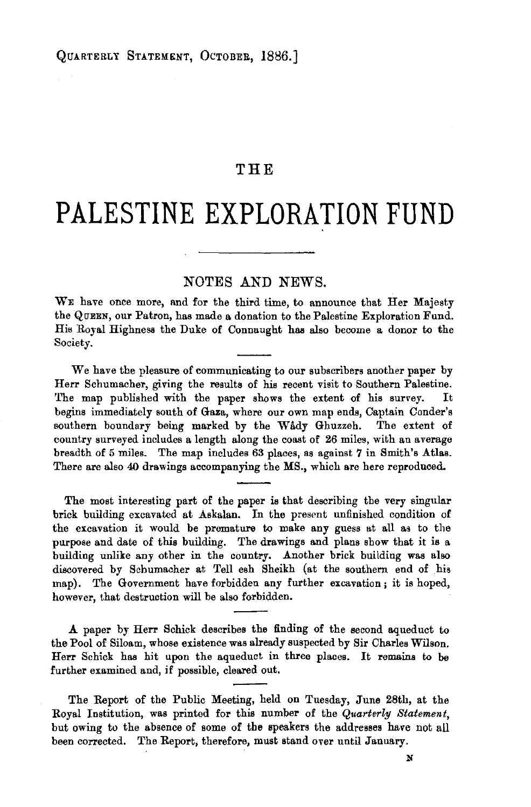## **THE**

## **PALESTINE EXPLORATION FUND**

## NOTES AND NEWS.

WE have once more, and for the third time, to announce that Her Majesty the QuEEN, our Patron, has made a donation to the Palestine Exploration Fund. His Royal Highness the Duke of Connaught has also become a donor to the Society.

We have the pleasure of communicating to our subscribers another paper by Herr Schumacher, giving the results of his recent visit to Southern Palestine. The map published with the paper shows the extent of his survey. It begins immediately south of Gaza, where our own map ends, Captain Conder's southern boundary being marked by the Wady Ghuzzeh. The extent of country surveyed includes a length along the coast of 26 miles, with an average breadth of 5 miles. The map includes 63 places, as against *7* in Smith's Atlas. There are also 40 drawings accompanying the MS., which are here reproduced.

The most interesting part of the paper is that describing the very singular brick building excavated at Askalan. In the present unfinished condition of the excavation it would be premature to make any guess at all as to the purpose and date of this building. The drawings and plans show that it is a building unlike any other in the country. Another brick building was also discovered by Schumacher at Tell esh Sheikh (at the southern end of his map). The Government have forbidden any further excavation; it is hoped, however, that destruction will be also forbidden.

**.A** paper by Herr Schick describes the finding of the second aqueduct to the Pool of Siloam, whose existence was already suspected by Sir Charles Wilson. Herr Schick has hit upon the aqueduct in three places. It remains to be further examined and, if possible, cleared out.

The Report of the Public Meeting, held on Tuesday, June 28th, at the Royal Institution, was printed for this number of the *Quarterly Statement,*  but owing to the absence of some of the speakers the addresses have not all been corrected. The Report, therefore, must stand over until January.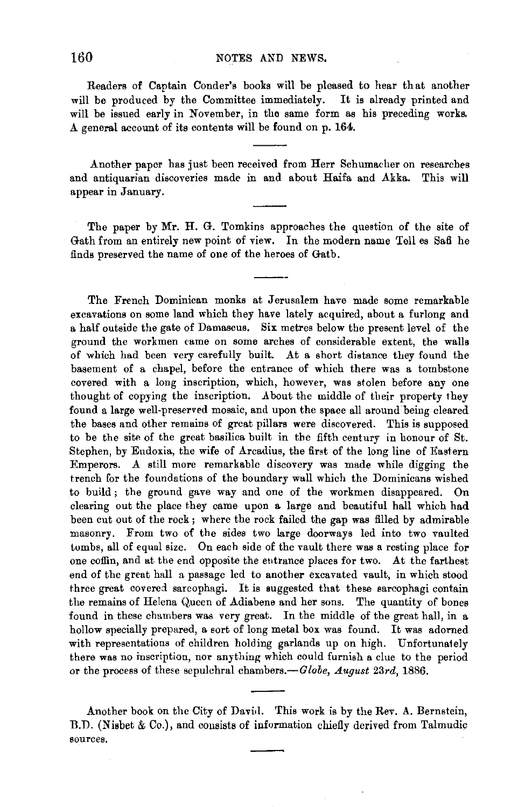Readers of Captain Conder's books will be pleased to hear that another will be produced by the Committee immediately. It is already printed and will be issued early in November, in the same form as his preceding works. A general account of its contents will be found on p. 164.

Another paper has just been received from Herr Schumacher on researches and antiquarian discoveries made in and about Haifa and Akka. This will appear in January.

The paper by Mr. H. G. Tomkins approaches the question of the site of Gath from an entirely new point of view. In the modern name Tell es Safi he finds preserved the name of one of the heroes of Gatb.

The French Dominican monks at Jerusalem have made some remarkable excavations on some land which they have lately acquired, about a furlong and a half outside the gate of Damascus. Six metres below the present level of the ground the workmen tame on some arches of considerable extent, the walls of which bad been very carefully built. At a short distance they found the basement of a chapel, before the entrance of which there was a tombstone covered with a long inscription, which, however, was stolen before any one thought of copying the inscription. About the middle of their property they found a large well-preserved mosaic, and upon the space all around' being cleared the bases and other remains of great pillars were discovered. This is supposed to be the site of the great basilica built in the fifth century in honour of St. Stephen, by Eudoxia, the wife of Arcadius, the first of the long line of Eastern Emperors. A still more remarkable discovery was made while digging the trench for the foundations of the boundary wall which the Dominicans wished to build; the ground gave way and one of the workmen disappeared. On clearing out the place they came upon a large and beautiful hall which had been cut out of the rock ; where the rock failed the gap was filled by admirable masonry. From two of the sides two large doorways led into two vaulted tombs, all of equal size. On each side of the vault there was a resting place for one coffin, and at the end opposite the eutrance places for two. At the farthest end of the great hall a passage led to another excavated vault, in which stood three great covered sarcophagi. It is suggested that these sarcophagi contain the remains of Helena Queen of Adiabene and her sons. The quantity of bones found in these chambers was very great. In the middle of the great hall, in a hollow specially prepared, a sort of long metsl box was found. It was adorned with representations of children holding garlands up on high. Unfortunately there was no inscription, nor anything which could furnish a clue to the period or the process of these sepulchral chambers.-*Globe, August 23rd*, 1886.

Another book on the City of David. This work is by the Rev. A. Bernstein, B.D. (Nisbet & Co.), and consists of information chiefly derived from Talmudic sources.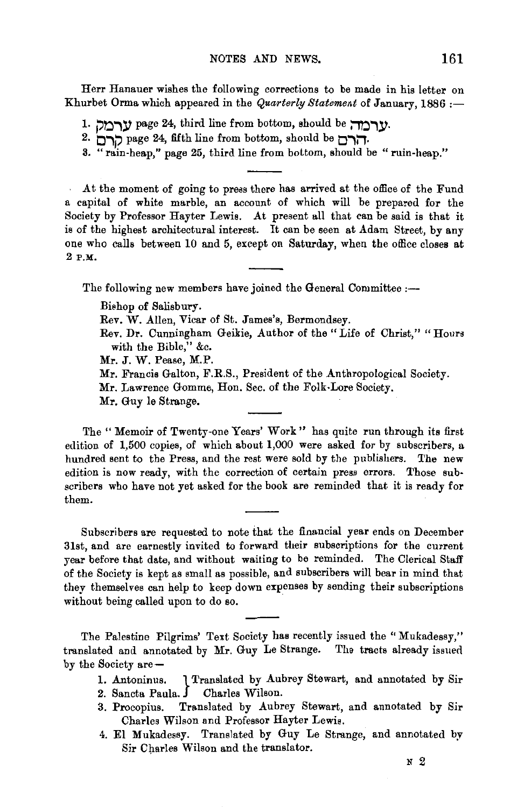Herr Hanauer wishes the following corrections to be made in his letter on Khurbet Orma which appeared in the *Quarterly Statement* of January, 1886 :-

- 1. **page 24, third line from bottom, should be** *נרמ***ה.**
- 2. **O.,J?** page 24, fifth line from bottom, should be **O.,IJ.**
- 3. "rain·heap," page 25, third line from bottom, should be "ruin-heap."

At the moment of going to press there has arrived at the office of the Fund a capital of white marble, an account of which will be prepared for the Society by Professor Hayter Lewis. At present all that can be said is that it is of the highest architectural interest. It can be seen at Adam Street, by any one who calls between 10 and 5, except on Saturday, when the office closes at 2 P.M.

The following new members have joined the General Committee :---

Bishop of Salisbury.

Rev. W. Alien, Vicar of St. James's, Bermondsey.

Rev. Dr. Cunningham Geikie, Author of the "Life of Christ," "Houra with the Bible," &c.

Mr. J. W. Pease, M.P.

Mr. Francis Galton, F.R.S., President of the Anthropological Society.

Mr. Lawrence Gomme, Hon. Sec. of the Folk-Lore Society.

Mr. Guy le Strange.

The "Memoir of Twenty-one Years' Work" has quite run through its first edition of 1,500 copies, of which about 1,000 were asked for by subscribers, a hundred sent to the Press, and the rest were sold by the publishers. The new edition is now ready, with the correction of certain press errors. Those subscribers who have not yet asked for the book are reminded that it is ready for them.

Subscribers are requested to note that the financial year ends on December 31st, and are earnestly invited to forward their subscriptions for the current year before that date, and without waiting to be reminded. The Clerical Staff of the Society is kept as small as possible, and subscribers will bear in mind that they themselves can help to keep down expenses by sending their subscriptions without being called upon to do so.

The Palestine Pilgrims' Text Society has recently issued the "Mukadessy," translated and annotated by Mr. Guy Le Strange. The tracts already issued by the Society are-

- 1. Antoninus. I Translated by Aubrey Stewart, and annotated by Sir
- 2. Sancta Paula. Charles Wilson.
- 3. Procopius. Translated by Aubrey Stewart, and annotated by Sir Charles Wilson and Professor Hayter Lewis.
- 4. El Mukadessy. Translated by Guy Le Strange, and annotated by Sir Charles Wilson and the translator.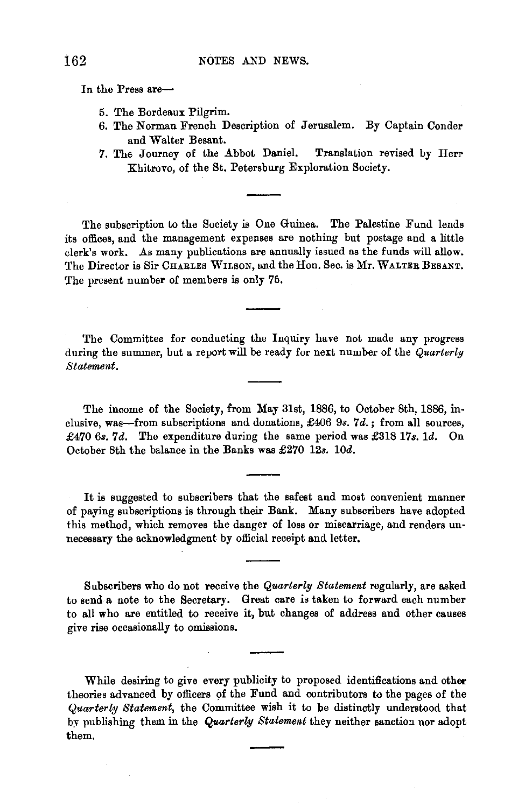In the Press are-

- 5. The Bordeaux Pilgrim.
- 6. The Norman French Description of Jerusalem. By Captain Conder and Waiter Besant.
- 7. The Journey of the Abbot Daniel. Translation revised by Herr Khitrovo, of the St. Petersburg Exploration Society.

The subscription to the Society is One Guinea. The Palestine Fund lends its offices, and the management expenses are nothing but postage and a little clerk's work. As many publications are annually issued as the funds will allow. The Director is Sir CHARLES WILSON, and the Hon. Sec. is Mr. WALTER BESANT. The present number of members is only 75.

The Committee for conducting the Inquiry have not made any progress during the summer, but a report will be ready for next number of the *Quarterlg Statement.* 

The income of the Society, from May 31st, 1886, to October 8th, 1886, in· elusive, was-from subscriptions and donations, £406 9s. *7d.;* from all sources, £470 6s. 7d. The expenditure during the same period was £318 17s. 1d. On October 8th the balance in the Banks was £270 12s. lOd.

It is suggested to subscribers that the safest and most convenient manner of paying subscriptions is through their Bank. Many subscribers have adopted this method, which removes the danger of loss or miscarriage, and renders un· necessary the acknowledgment by official receipt and letter.

Subscribers who do not receive the *Quarterlg Statement* regularly, are asked to send a note to the Secretary. Great care is taken to forward each number to all who are entitled to receive it, but changes of address and other causes give rise occasionally to omissions.

While desiring to give every publicity to proposed identifications and other theories advanced by officers of the Fund and contributors to the pages of the *Quarterlg Statement,* the Committee wish it to be distinctly understood that by publishing them in the *Quarterly Statement* they neither sanction nor adopt them.